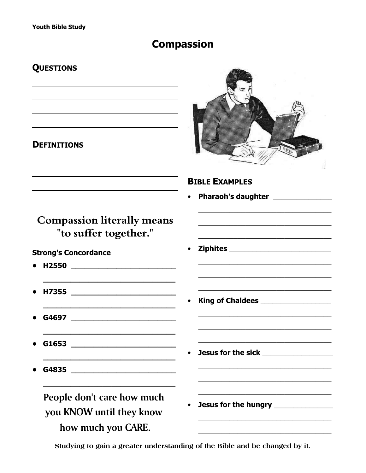## **Compassion**

## **QUESTIONS**

### **DEFINITIONS**



**Pharaoh's daughter Community** 

# **Compassion literally means** "to suffer together."

# **Strong's Concordance**

- 
- 
- **G4697 Samuel Service Service Service Service Service Service Service Service Service Service Service Service**
- 
- 

# People don't care how much you KNOW until they know how much you CARE.

**Ziphites Example 2**  $\bullet$ 

**BIBLE EXAMPLES** 

- $\bullet$
- $\bullet$ 
	- Jesus for the hungry \_\_\_\_\_\_\_\_\_\_\_\_\_\_\_

### Studying to gain a greater understanding of the Bible and be changed by it.